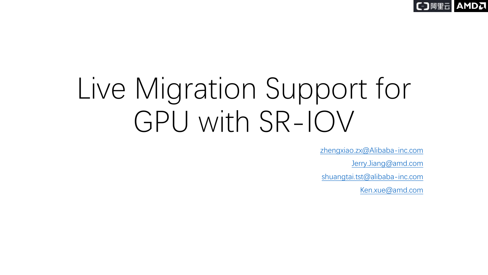**AMDA** 

# Live Migration Support for GPU with SR-IOV

[zhengxiao.zx@Alibaba-inc.com](mailto:Zhengxiao.zx@Alibaba-inc.com)

[Jerry.Jiang@amd.com](mailto:Jerry.Jiang@amd.com)

[shuangtai.tst@alibaba-inc.com](mailto:shuangtai.tst@alibaba-inc.com)

[Ken.xue@amd.com](mailto:Ken.xue@amd.com)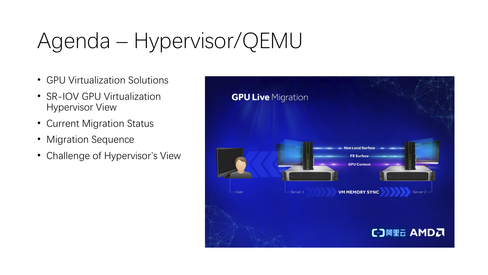## Agenda – Hypervisor/QEMU

- GPU Virtualization Solutions
- SR-IOV GPU Virtualization Hypervisor View
- Current Migration Status
- Migration Sequence
- Challenge of Hypervisor's View

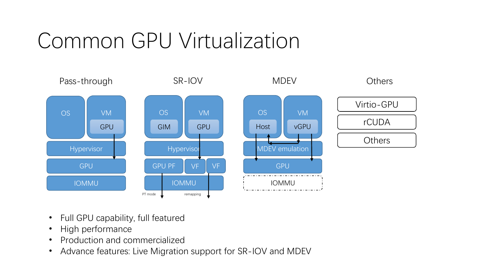## Common GPU Virtualization



- Full GPU capability, full featured
- High performance
- Production and commercialized
- Advance features: Live Migration support for SR-IOV and MDEV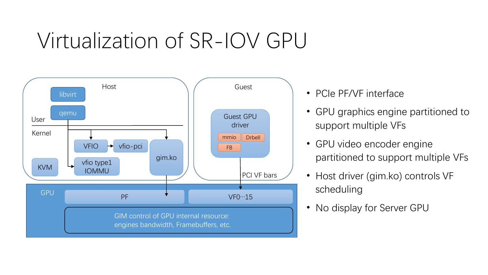### Virtualization of SR-IOV GPU



- PCIe PF/VF interface
- GPU graphics engine partitioned to support multiple VFs
- GPU video encoder engine partitioned to support multiple VFs
- Host driver (gim.ko) controls VF scheduling
- No display for Server GPU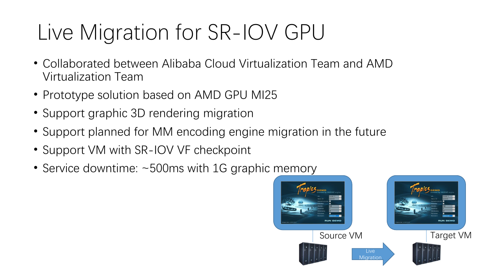## Live Migration for SR-IOV GPU

- Collaborated between Alibaba Cloud Virtualization Team and AMD Virtualization Team
- Prototype solution based on AMD GPU MI25
- Support graphic 3D rendering migration
- Support planned for MM encoding engine migration in the future
- Support VM with SR-IOV VF checkpoint
- Service downtime: ~500ms with 1G graphic memory

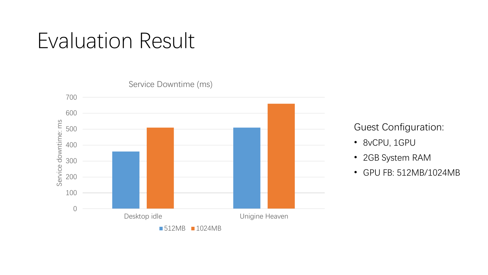### Evaluation Result



Guest Configuration:

- 8vCPU, 1GPU
- 2GB System RAM
- GPU FB: 512MB/1024MB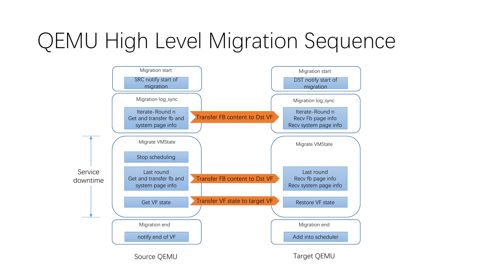## QEMU High Level Migration Sequence

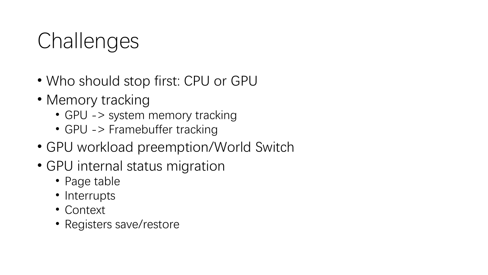## **Challenges**

- Who should stop first: CPU or GPU
- Memory tracking
	- GPU -> system memory tracking
	- GPU -> Framebuffer tracking
- GPU workload preemption/World Switch
- GPU internal status migration
	- Page table
	- Interrupts
	- Context
	- Registers save/restore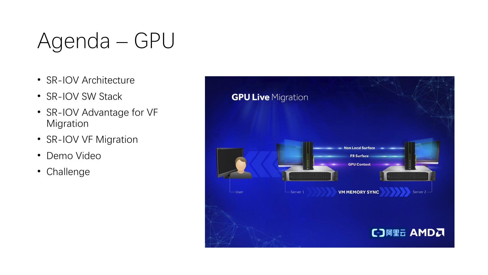## Agenda – GPU

- SR-IOV Architecture
- SR-IOV SW Stack
- SR-IOV Advantage for VF Migration
- SR-IOV VF Migration
- Demo Video
- Challenge

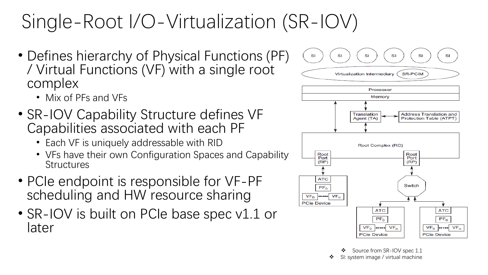### Single-Root I/O-Virtualization (SR-IOV)

- Defines hierarchy of Physical Functions (PF) / Virtual Functions (VF) with a single root complex
	- Mix of PFs and VFs
- SR-IOV Capability Structure defines VF Capabilities associated with each PF
	- Each VF is uniquely addressable with RID
	- VFs have their own Configuration Spaces and Capability **Structures**
- PCIe endpoint is responsible for VF-PF scheduling and HW resource sharing
- SR-IOV is built on PCIe base spec v1.1 or later



Source from SR-IOV spec 1.1

SI: system image / virtual machine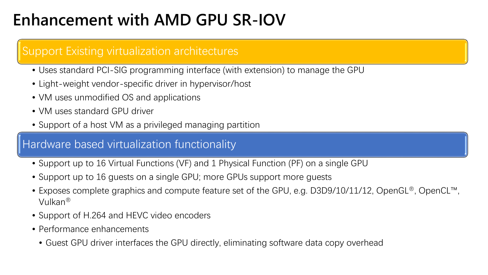### **Enhancement with AMD GPU SR-IOV**

### Support Existing virtualization architectures

- Uses standard PCI-SIG programming interface (with extension) to manage the GPU
- Light-weight vendor-specific driver in hypervisor/host
- VM uses unmodified OS and applications
- VM uses standard GPU driver
- Support of a host VM as a privileged managing partition

### Hardware based virtualization functionality

- Support up to 16 Virtual Functions (VF) and 1 Physical Function (PF) on a single GPU
- Support up to 16 guests on a single GPU; more GPUs support more guests
- Exposes complete graphics and compute feature set of the GPU, e.g. D3D9/10/11/12, OpenGL®, OpenCL™, Vulkan®
- Support of H.264 and HEVC video encoders
- Performance enhancements
	- Guest GPU driver interfaces the GPU directly, eliminating software data copy overhead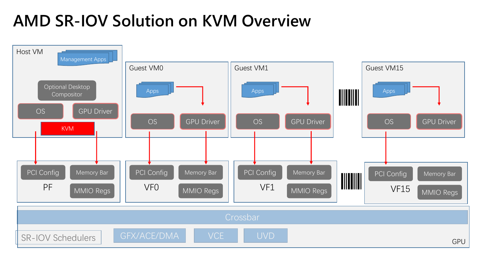### **AMD SR-IOV Solution on KVM Overview**

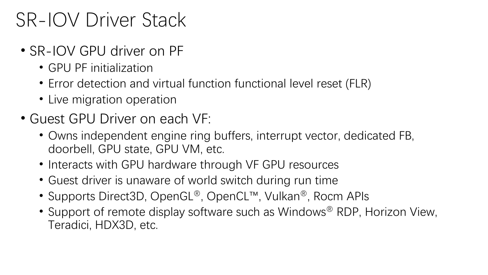### SR-IOV Driver Stack

- SR-IOV GPU driver on PF
	- GPU PF initialization
	- Error detection and virtual function functional level reset (FLR)
	- Live migration operation
- Guest GPU Driver on each VF:
	- Owns independent engine ring buffers, interrupt vector, dedicated FB, doorbell, GPU state, GPU VM, etc.
	- Interacts with GPU hardware through VF GPU resources
	- Guest driver is unaware of world switch during run time
	- Supports Direct3D, OpenGL®, OpenCL™, Vulkan®, Rocm APIs
	- Support of remote display software such as Windows<sup>®</sup> RDP, Horizon View, Teradici, HDX3D, etc.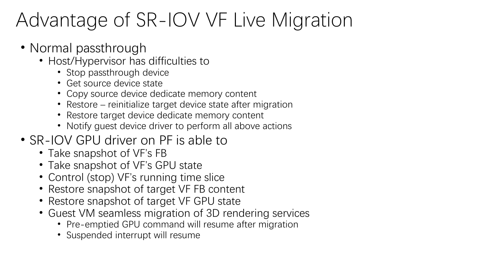### Advantage of SR-IOV VF Live Migration

- Normal passthrough
	- Host/Hypervisor has difficulties to
		- Stop passthrough device
		- Get source device state
		- Copy source device dedicate memory content
		- Restore reinitialize target device state after migration
		- Restore target device dedicate memory content
		- Notify guest device driver to perform all above actions
- SR-IOV GPU driver on PF is able to
	- Take snapshot of VF's FB
	- Take snapshot of VF's GPU state
	- Control (stop) VF's running time slice
	- Restore snapshot of target VF FB content
	- Restore snapshot of target VF GPU state
	- Guest VM seamless migration of 3D rendering services
		- Pre-emptied GPU command will resume after migration
		- Suspended interrupt will resume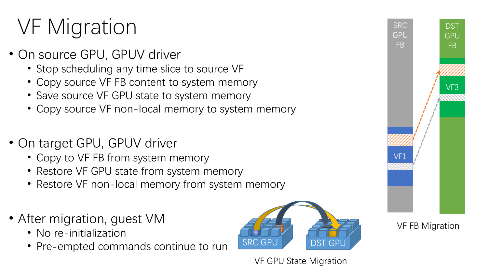## VF Migration

- On source GPU, GPUV driver
	- Stop scheduling any time slice to source VF
	- Copy source VF FB content to system memory
	- Save source VF GPU state to system memory
	- Copy source VF non-local memory to system memory
- On target GPU, GPUV driver
	- Copy to VF FB from system memory
	- Restore VF GPU state from system memory
	- Restore VF non-local memory from system memory
- After migration, guest VM
	- No re-initialization
	- Pre-empted commands continue to run SRC GPU







VF FB Migration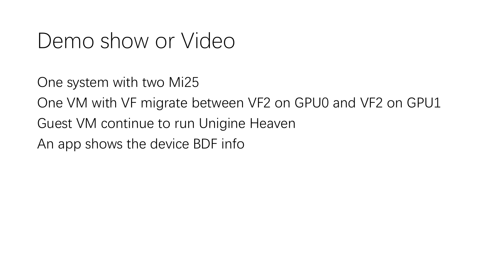### Demo show or Video

One system with two Mi25

One VM with VF migrate between VF2 on GPU0 and VF2 on GPU1

Guest VM continue to run Unigine Heaven

An app shows the device BDF info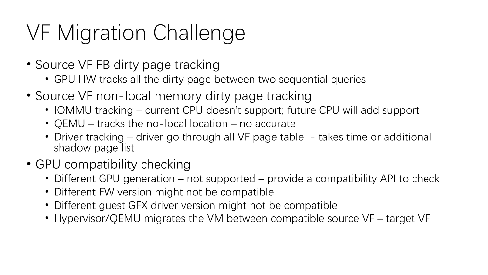## VF Migration Challenge

- Source VF FB dirty page tracking
	- GPU HW tracks all the dirty page between two sequential queries
- Source VF non-local memory dirty page tracking
	- IOMMU tracking current CPU doesn't support; future CPU will add support
	- QEMU tracks the no-local location no accurate
	- Driver tracking driver go through all VF page table takes time or additional shadow page list
- GPU compatibility checking
	- Different GPU generation not supported provide a compatibility API to check
	- Different FW version might not be compatible
	- Different guest GFX driver version might not be compatible
	- Hypervisor/QEMU migrates the VM between compatible source VF target VF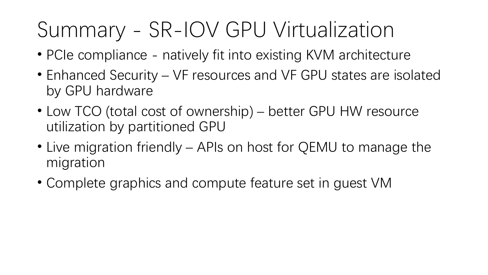## Summary - SR-IOV GPU Virtualization

- PCIe compliance natively fit into existing KVM architecture
- Enhanced Security VF resources and VF GPU states are isolated by GPU hardware
- Low TCO (total cost of ownership) better GPU HW resource utilization by partitioned GPU
- Live migration friendly APIs on host for QEMU to manage the migration
- Complete graphics and compute feature set in guest VM